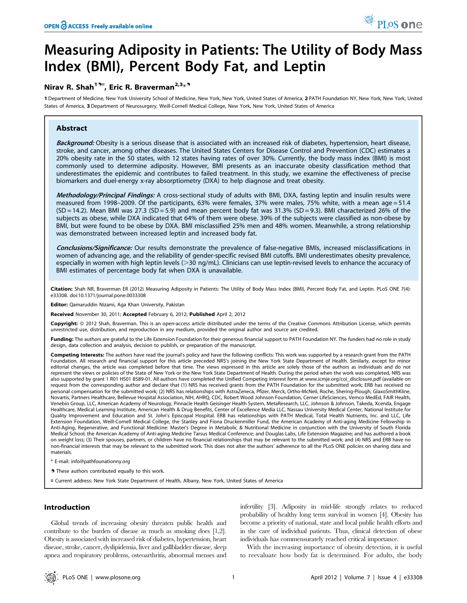# Measuring Adiposity in Patients: The Utility of Body Mass Index (BMI), Percent Body Fat, and Leptin

# Nirav R. Shah<sup>19¤</sup>, Eric R. Braverman<sup>2,3</sup>\*<sup>9</sup>

1 Department of Medicine, New York University School of Medicine, New York, New York, United States of America, 2 PATH Foundation NY, New York, New York, United States of America, 3 Department of Neurosurgery, Weill-Cornell Medical College, New York, New York, United States of America

# Abstract

Background: Obesity is a serious disease that is associated with an increased risk of diabetes, hypertension, heart disease, stroke, and cancer, among other diseases. The United States Centers for Disease Control and Prevention (CDC) estimates a 20% obesity rate in the 50 states, with 12 states having rates of over 30%. Currently, the body mass index (BMI) is most commonly used to determine adiposity. However, BMI presents as an inaccurate obesity classification method that underestimates the epidemic and contributes to failed treatment. In this study, we examine the effectiveness of precise biomarkers and duel-energy x-ray absorptiometry (DXA) to help diagnose and treat obesity.

Methodology/Principal Findings: A cross-sectional study of adults with BMI, DXA, fasting leptin and insulin results were measured from 1998–2009. Of the participants, 63% were females, 37% were males, 75% white, with a mean age = 51.4  $(SD = 14.2)$ . Mean BMI was 27.3  $(SD = 5.9)$  and mean percent body fat was 31.3%  $(SD = 9.3)$ . BMI characterized 26% of the subjects as obese, while DXA indicated that 64% of them were obese. 39% of the subjects were classified as non-obese by BMI, but were found to be obese by DXA. BMI misclassified 25% men and 48% women. Meanwhile, a strong relationship was demonstrated between increased leptin and increased body fat.

Conclusions/Significance: Our results demonstrate the prevalence of false-negative BMIs, increased misclassifications in women of advancing age, and the reliability of gender-specific revised BMI cutoffs. BMI underestimates obesity prevalence, especially in women with high leptin levels (>30 ng/mL). Clinicians can use leptin-revised levels to enhance the accuracy of BMI estimates of percentage body fat when DXA is unavailable.

Citation: Shah NR, Braverman ER (2012) Measuring Adiposity in Patients: The Utility of Body Mass Index (BMI), Percent Body Fat, and Leptin. PLoS ONE 7(4): e33308. doi:10.1371/journal.pone.0033308

Editor: Qamaruddin Nizami, Aga Khan University, Pakistan

Received November 30, 2011; Accepted February 6, 2012; Published April 2, 2012

Copyright: © 2012 Shah, Braverman. This is an open-access article distributed under the terms of the Creative Commons Attribution License, which permits unrestricted use, distribution, and reproduction in any medium, provided the original author and source are credited.

Funding: The authors are grateful to the Life Extension Foundation for their generous financial support to PATH Foundation NY. The funders had no role in study design, data collection and analysis, decision to publish, or preparation of the manuscript.

Competing Interests: The authors have read the journal's policy and have the following conflicts: This work was supported by a research grant from the PATH Foundation. All research and financial support for this article preceded NRS's joining the New York State Department of Health. Similarly, except for minor editorial changes, the article was completed before that time. The views expressed in this article are solely those of the authors as individuals and do not represent the views or policies of the State of New York or the New York State Department of Health. During the period when the work was completed, NRS was also supported by grant 1 R01 HS01 8589-01. All authors have completed the Unified Competing Interest form at www.icmje.org/coi\_disclosure.pdf (available on request from the corresponding author and declare that (1) NRS has received grants from the PATH Foundation for the submitted work; ERB has received no personal compensation for the submitted work; (2) NRS has relationships with AstraZeneca, Pfizer, Merck, Ortho-McNeil, Roche, Shering-Plough, GlaxoSmithKline, Novartis, Partners Healthcare, Bellevue Hospital Association, NIH, AHRQ, CDC, Robert Wood Johnson Foundation, Cerner LifeSciences, Vemco MedEd, FAIR Health, Venebio Group, LLC, American Academy of Neurology, Pinnacle Health Geisinger Health System, MetaResearch, LLC, Johnson & Johnson, Takeda, Xcenda, Engage Healthcare, Medical Learning Institute, American Health & Drug Benefits, Center of Excellence Media LLC, Nassau University Medical Center, National Institute for Quality Improvement and Education and St. John's Episcopal Hospital. ERB has relationships with PATH Medical, Total Health Nutrients, Inc. and LLC, Life Extension Foundation, Weill-Cornell Medical College, the Stanley and Fiona Druckenmiller Fund, the American Academy of Anti-aging Medicine Fellowship in Anti-Aging, Regenerative, and Functional Medicine: Master's Degree in Metabolic & Nutritional Medicine in conjunction with the University of South Florida Medical School; the American Academy of Anti-aging Medicine Tarsus Medical Conference; and Douglas Labs, Life Extension Magazine; and has authored a book on weight loss; (3) Their spouses, partners, or children have no financial relationships that may be relevant to the submitted work; and (4) NRS and ERB have no non-financial interests that may be relevant to the submitted work. This does not alter the authors' adherence to all the PLoS ONE policies on sharing data and materials.

\* E-mail: info@pathfounationny.org

. These authors contributed equally to this work.

¤ Current address: New York State Department of Health, Albany, New York, United States of America

# Introduction

Global trends of increasing obesity threaten public health and contribute to the burden of disease as much as smoking does [1,2]. Obesity is associated with increased risk of diabetes, hypertension, heart disease, stroke, cancer, dyslipidemia, liver and gallbladder disease, sleep apnea and respiratory problems, osteoarthritis, abnormal menses and

infertility [3]. Adiposity in mid-life strongly relates to reduced probability of healthy long term survival in women [4]. Obesity has become a priority of national, state and local public health efforts and in the care of individual patients. Thus, clinical detection of obese individuals has commensurately reached critical importance.

With the increasing importance of obesity detection, it is useful to reevaluate how body fat is determined. For adults, the body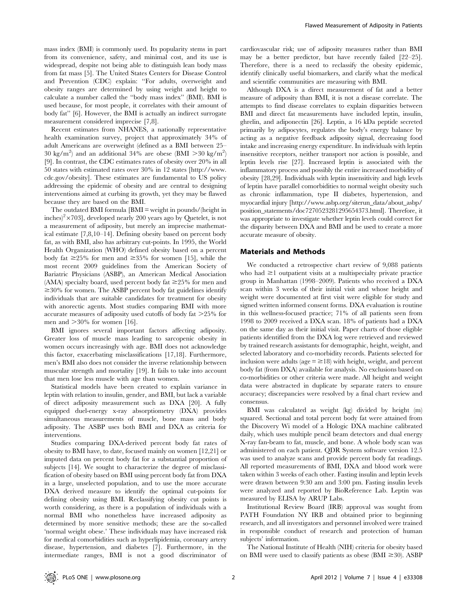mass index (BMI) is commonly used. Its popularity stems in part from its convenience, safety, and minimal cost, and its use is widespread, despite not being able to distinguish lean body mass from fat mass [5]. The United States Centers for Disease Control and Prevention (CDC) explain: ''For adults, overweight and obesity ranges are determined by using weight and height to calculate a number called the ''body mass index'' (BMI). BMI is used because, for most people, it correlates with their amount of body fat'' [6]. However, the BMI is actually an indirect surrogate measurement considered imprecise [7,8].

Recent estimates from NHANES, a nationally representative health examination survey, project that approximately 34% of adult Americans are overweight (defined as a BMI between 25– 30 kg/m<sup>2</sup>) and an additional 34% are obese (BMI > 30 kg/m<sup>2</sup>) [9]. In contrast, the CDC estimates rates of obesity over 20% in all 50 states with estimated rates over 30% in 12 states [http://www. cdc.gov/obesity]. These estimates are fundamental to US policy addressing the epidemic of obesity and are central to designing interventions aimed at curbing its growth, yet they may be flawed because they are based on the BMI.

The outdated BMI formula [BMI = weight in pounds/(height in inches)<sup>2</sup>×703], developed nearly 200 years ago by Quetelet, is not a measurement of adiposity, but merely an imprecise mathematical estimate [7,8,10–14]. Defining obesity based on percent body fat, as with BMI, also has arbitrary cut-points. In 1995, the World Health Organization (WHO) defined obesity based on a percent body fat  $\geq$ 25% for men and  $\geq$ 35% for women [15], while the most recent 2009 guidelines from the American Society of Bariatric Physicians (ASBP), an American Medical Association (AMA) specialty board, used percent body fat  $\geq$ 25% for men and  $\geq$  30% for women. The ASBP percent body fat guidelines identify individuals that are suitable candidates for treatment for obesity with anorectic agents. Most studies comparing BMI with more accurate measures of adiposity used cutoffs of body fat  $>25\%$  for men and  $>30\%$  for women [16].

BMI ignores several important factors affecting adiposity. Greater loss of muscle mass leading to sarcopenic obesity in women occurs increasingly with age. BMI does not acknowledge this factor, exacerbating misclassifications [17,18]. Furthermore, men's BMI also does not consider the inverse relationship between muscular strength and mortality [19]. It fails to take into account that men lose less muscle with age than women.

Statistical models have been created to explain variance in leptin with relation to insulin, gender, and BMI, but lack a variable of direct adiposity measurement such as DXA [20]. A fully equipped duel-energy x-ray absorptiometry (DXA) provides simultaneous measurements of muscle, bone mass and body adiposity. The ASBP uses both BMI and DXA as criteria for interventions.

Studies comparing DXA-derived percent body fat rates of obesity to BMI have, to date, focused mainly on women [12,21] or imputed data on percent body fat for a substantial proportion of subjects [14]. We sought to characterize the degree of misclassification of obesity based on BMI using percent body fat from DXA in a large, unselected population, and to use the more accurate DXA derived measure to identify the optimal cut-points for defining obesity using BMI. Reclassifying obesity cut points is worth considering, as there is a population of individuals with a normal BMI who nonetheless have increased adiposity as determined by more sensitive methods; these are the so-called 'normal weight obese.' These individuals may have increased risk for medical comorbidities such as hyperlipidemia, coronary artery disease, hypertension, and diabetes [7]. Furthermore, in the intermediate ranges, BMI is not a good discriminator of cardiovascular risk; use of adiposity measures rather than BMI may be a better predictor, but have recently failed [22–25]. Therefore, there is a need to reclassify the obesity epidemic, identify clinically useful biomarkers, and clarify what the medical and scientific communities are measuring with BMI.

Although DXA is a direct measurement of fat and a better measure of adiposity than BMI, it is not a disease correlate. The attempts to find disease correlates to explain disparities between BMI and direct fat measurements have included leptin, insulin, ghrelin, and adiponectin [26]. Leptin, a 16 kDa peptide secreted primarily by adipocytes, regulates the body's energy balance by acting as a negative feedback adiposity signal, decreasing food intake and increasing energy expenditure. In individuals with leptin insensitive receptors, neither transport nor action is possible, and leptin levels rise [27]. Increased leptin is associated with the inflammatory process and possibly the entire increased morbidity of obesity [28,29]. Individuals with leptin insensitivity and high levels of leptin have parallel comorbidities to normal weight obesity such as chronic inflammation, type II diabetes, hypertension, and myocardial injury [http://www.asbp.org/siterun\_data/about\_asbp/ position\_statements/doc7270523281295654373.html]. Therefore, it was appropriate to investigate whether leptin levels could correct for the disparity between DXA and BMI and be used to create a more accurate measure of obesity.

#### Materials and Methods

We conducted a retrospective chart review of 9,088 patients who had  $\geq$  0 outpatient visits at a multispecialty private practice group in Manhattan (1998–2009). Patients who received a DXA scan within 3 weeks of their initial visit and whose height and weight were documented at first visit were eligible for study and signed written informed consent forms. DXA evaluation is routine in this wellness-focused practice; 71% of all patients seen from 1998 to 2009 received a DXA scan. 18% of patients had a DXA on the same day as their initial visit. Paper charts of those eligible patients identified from the DXA log were retrieved and reviewed by trained research assistants for demographic, height, weight, and selected laboratory and co-morbidity records. Patients selected for inclusion were adults (age  $\equiv \geq 18$ ) with height, weight, and percent body fat (from DXA) available for analysis. No exclusions based on co-morbidities or other criteria were made. All height and weight data were abstracted in duplicate by separate raters to ensure accuracy; discrepancies were resolved by a final chart review and consensus.

BMI was calculated as weight (kg) divided by height (m) squared. Sectional and total percent body fat were attained from the Discovery Wi model of a Hologic DXA machine calibrated daily, which uses multiple pencil beam detectors and dual energy X-ray fan-beam to fat, muscle, and bone. A whole body scan was administered on each patient. QDR System software version 12.5 was used to analyze scans and provide percent body fat readings. All reported measurements of BMI, DXA and blood work were taken within 3 weeks of each other. Fasting insulin and leptin levels were drawn between 9:30 am and 3:00 pm. Fasting insulin levels were analyzed and reported by BioReference Lab. Leptin was measured by ELISA by ARUP Labs.

Institutional Review Board (IRB) approval was sought from PATH Foundation NY IRB and obtained prior to beginning research, and all investigators and personnel involved were trained in responsible conduct of research and protection of human subjects' information.

The National Institute of Health (NIH) criteria for obesity based on BMI were used to classify patients as obese (BMI  $\geq$  30). ASBP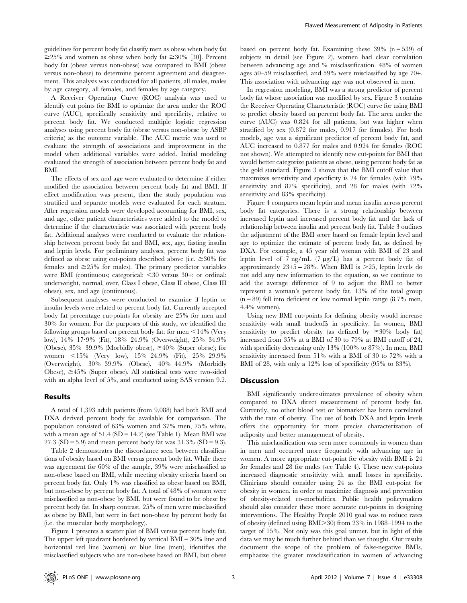guidelines for percent body fat classify men as obese when body fat  $\geq$ 25% and women as obese when body fat  $\geq$ 30% [30]. Percent body fat (obese versus non-obese) was compared to BMI (obese versus non-obese) to determine percent agreement and disagreement. This analysis was conducted for all patients, all males, males by age category, all females, and females by age category.

A Receiver Operating Curve (ROC) analysis was used to identify cut points for BMI to optimize the area under the ROC curve (AUC), specifically sensitivity and specificity, relative to percent body fat. We conducted multiple logistic regression analyses using percent body fat (obese versus non-obese by ASBP criteria) as the outcome variable. The AUC metric was used to evaluate the strength of associations and improvement in the model when additional variables were added. Initial modeling evaluated the strength of association between percent body fat and BMI.

The effects of sex and age were evaluated to determine if either modified the association between percent body fat and BMI. If effect modification was present, then the study population was stratified and separate models were evaluated for each stratum. After regression models were developed accounting for BMI, sex, and age, other patient characteristics were added to the model to determine if the characteristic was associated with percent body fat. Additional analyses were conducted to evaluate the relationship between percent body fat and BMI, sex, age, fasting insulin and leptin levels. For preliminary analyses, percent body fat was defined as obese using cut-points described above (i.e.  $\geq 30\%$  for females and  $\geq$  25% for males). The primary predictor variables were BMI (continuous; categorical:  $<$ 30 versus 30+; or ordinal: underweight, normal, over, Class I obese, Class II obese, Class III obese), sex, and age (continuous).

Subsequent analyses were conducted to examine if leptin or insulin levels were related to percent body fat. Currently accepted body fat percentage cut-points for obesity are 25% for men and 30% for women. For the purposes of this study, we identified the following groups based on percent body fat: for men  $\leq$ 14% (Very low), 14%–17?9% (Fit), 18%–24.9% (Overweight), 25%–34.9% (Obese),  $35\% - 39.9\%$  (Morbidly obese),  $\geq 40\%$  (Super obese); for women  $\langle 15\% \rangle$  (Very low),  $15\% - 24.9\%$  (Fit),  $25\% - 29.9\%$ (Overweight), 30%–39.9% (Obese), 40%–44.9% (Morbidly Obese),  $\geq 45\%$  (Super obese). All statistical tests were two-sided with an alpha level of 5%, and conducted using SAS version 9.2.

#### Results

A total of 1,393 adult patients (from 9,088) had both BMI and DXA derived percent body fat available for comparison. The population consisted of 63% women and 37% men, 75% white, with a mean age of  $51.4$  (SD = 14.2) (see Table 1). Mean BMI was 27.3 (SD = 5.9) and mean percent body fat was  $31.3\%$  (SD = 9.3).

Table 2 demonstrates the discordance seen between classifications of obesity based on BMI versus percent body fat. While there was agreement for 60% of the sample, 39% were misclassified as non-obese based on BMI, while meeting obesity criteria based on percent body fat. Only 1% was classified as obese based on BMI, but non-obese by percent body fat. A total of 48% of women were misclassified as non-obese by BMI, but were found to be obese by percent body fat. In sharp contrast, 25% of men were misclassified as obese by BMI, but were in fact non-obese by percent body fat (i.e. the muscular body morphology).

Figure 1 presents a scatter plot of BMI versus percent body fat. The upper left quadrant bordered by vertical BMI = 30% line and horizontal red line (women) or blue line (men), identifies the misclassified subjects who are non-obese based on BMI, but obese

based on percent body fat. Examining these  $39\%$  (n = 539) of subjects in detail (see Figure 2), women had clear correlation between advancing age and % misclassification. 48% of women ages 50–59 misclassified, and 59% were misclassified by age 70+. This association with advancing age was not observed in men.

In regression modeling, BMI was a strong predictor of percent body fat whose association was modified by sex. Figure 3 contains the Receiver Operating Characteristic (ROC) curve for using BMI to predict obesity based on percent body fat. The area under the curve (AUC) was 0.824 for all patients, but was higher when stratified by sex (0.872 for males, 0.917 for females). For both models, age was a significant predictor of percent body fat, and AUC increased to 0.877 for males and 0.924 for females (ROC not shown). We attempted to identify new cut-points for BMI that would better categorize patients as obese, using percent body fat as the gold standard. Figure 3 shows that the BMI cutoff value that maximizes sensitivity and specificity is 24 for females (with 79% sensitivity and 87% specificity), and 28 for males (with 72% sensitivity and 83% specificity).

Figure 4 compares mean leptin and mean insulin across percent body fat categories. There is a strong relationship between increased leptin and increased percent body fat and the lack of relationship between insulin and percent body fat. Table 3 outlines the adjustment of the BMI score based on female leptin level and age to optimize the estimate of percent body fat, as defined by DXA. For example, a 45 year old woman with BMI of 23 and leptin level of 7 ng/mL  $(7 \text{ kg/L})$  has a percent body fat of approximately  $23+5 = 28\%$ . When BMI is  $>25$ , leptin levels do not add any new information to the equation, so we continue to add the average difference of 9 to adjust the BMI to better represent a woman's percent body fat. 13% of the total group  $(n = 89)$  fell into deficient or low normal leptin range  $(8.7\%$  men, 4.4% women).

Using new BMI cut-points for defining obesity would increase sensitivity with small tradeoffs in specificity. In women, BMI sensitivity to predict obesity (as defined by  $\geq 30\%$  body fat) increased from 35% at a BMI of 30 to 79% at BMI cutoff of 24, with specificity decreasing only 13% (100% to 87%). In men, BMI sensitivity increased from 51% with a BMI of 30 to 72% with a BMI of 28, with only a 12% loss of specificity  $(95\%$  to 83%).

#### **Discussion**

BMI significantly underestimates prevalence of obesity when compared to DXA direct measurement of percent body fat. Currently, no other blood test or biomarker has been correlated with the rate of obesity. The use of both DXA and leptin levels offers the opportunity for more precise characterization of adiposity and better management of obesity.

This misclassification was seen more commonly in women than in men and occurred more frequently with advancing age in women. A more appropriate cut-point for obesity with BMI is 24 for females and 28 for males (see Table 4). These new cut-points increased diagnostic sensitivity with small losses in specificity. Clinicians should consider using 24 as the BMI cut-point for obesity in women, in order to maximize diagnosis and prevention of obesity-related co-morbidities. Public health policymakers should also consider these more accurate cut-points in designing interventions. The Healthy People 2010 goal was to reduce rates of obesity (defined using BMI $>$ 30) from 23% in 1988–1994 to the target of 15%. Not only was this goal unmet, but in light of this data we may be much further behind than we thought. Our results document the scope of the problem of false-negative BMIs, emphasize the greater misclassification in women of advancing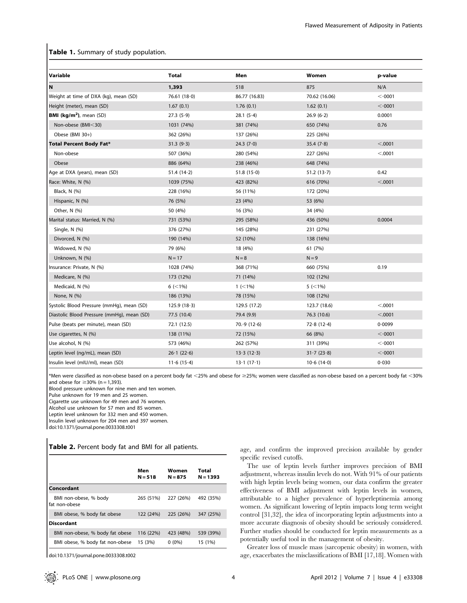### Table 1. Summary of study population.

| Variable                                   | <b>Total</b>     | Men              | Women            | p-value |
|--------------------------------------------|------------------|------------------|------------------|---------|
| N                                          | 1,393            | 518              | 875              | N/A     |
| Weight at time of DXA (kg), mean (SD)      | 76.61(18.0)      | 86.77 (16.83)    | 70.62 (16.06)    | < 0001  |
| Height (meter), mean (SD)                  | 1.67(0.1)        | 1.76(0.1)        | 1.62(0.1)        | < 0001  |
| <b>BMI</b> ( $kg/m2$ ), mean (SD)          | 27.3(5.9)        | 28.1(5.4)        | 26.9(6·2)        | 0.0001  |
| Non-obese (BMI<30)                         | 1031 (74%)       | 381 (74%)        | 650 (74%)        | 0.76    |
| Obese (BMI 30+)                            | 362 (26%)        | 137 (26%)        | 225 (26%)        |         |
| <b>Total Percent Body Fat*</b>             | 31.3(9.3)        | 24.3 $(7.0)$     | 35.4(7.8)        | < .0001 |
| Non-obese                                  | 507 (36%)        | 280 (54%)        | 227 (26%)        | < .0001 |
| Obese                                      | 886 (64%)        | 238 (46%)        | 648 (74%)        |         |
| Age at DXA (years), mean (SD)              | 51.4 $(14.2)$    | 51.8(15.0)       | 51.2(13.7)       | 0.42    |
| Race: White, N (%)                         | 1039 (75%)       | 423 (82%)        | 616 (70%)        | < .0001 |
| Black, N (%)                               | 228 (16%)        | 56 (11%)         | 172 (20%)        |         |
| Hispanic, N (%)                            | 76 (5%)          | 23 (4%)          | 53 (6%)          |         |
| Other, N (%)                               | 50 (4%)          | 16 (3%)          | 34 (4%)          |         |
| Marital status: Married, N (%)             | 731 (53%)        | 295 (58%)        | 436 (50%)        | 0.0004  |
| Single, N (%)                              | 376 (27%)        | 145 (28%)        | 231 (27%)        |         |
| Divorced, N (%)                            | 190 (14%)        | 52 (10%)         | 138 (16%)        |         |
| Widowed, N (%)                             | 79 (6%)          | 18 (4%)          | 61 (7%)          |         |
| Unknown, N (%)                             | $N = 17$         | $N = 8$          | $N = 9$          |         |
| Insurance: Private, N (%)                  | 1028 (74%)       | 368 (71%)        | 660 (75%)        | 0.19    |
| Medicare, N (%)                            | 173 (12%)        | 71 (14%)         | 102 (12%)        |         |
| Medicaid, N (%)                            | $6$ ( $\leq$ 1%) | $1$ ( $\leq$ 1%) | $5$ ( $\leq$ 1%) |         |
| None, N (%)                                | 186 (13%)        | 78 (15%)         | 108 (12%)        |         |
| Systolic Blood Pressure (mmHq), mean (SD)  | 125.9(18.3)      | 129.5 (17.2)     | 123.7 (18.6)     | < .0001 |
| Diastolic Blood Pressure (mmHg), mean (SD) | 77.5 (10.4)      | 79.4 (9.9)       | 76.3 (10.6)      | < .0001 |
| Pulse (beats per minute), mean (SD)        | 72.1 (12.5)      | 70.9(12.6)       | 72.8(12.4)       | 0.0099  |
| Use cigarettes, N (%)                      | 138 (11%)        | 72 (15%)         | 66 (8%)          | < 0001  |
| Use alcohol, N (%)                         | 573 (46%)        | 262 (57%)        | 311 (39%)        | < 0001  |
| Leptin level (ng/mL), mean (SD)            | 26.1(22.6)       | 13.3(12.3)       | 31.7(23.8)       | < 0001  |
| Insulin level (mIU/ml), mean (SD)          | 11.6(15.4)       | 13.1(17.1)       | 10.6(14.0)       | 0.030   |

\*Men were classified as non-obese based on a percent body fat <25% and obese for  $\geq$ 25%; women were classified as non-obese based on a percent body fat <30% and obese for  $\geq$  30% (n = 1,393).

Blood pressure unknown for nine men and ten women.

Pulse unknown for 19 men and 25 women.

Cigarette use unknown for 49 men and 76 women.

Alcohol use unknown for 57 men and 85 women.

Leptin level unknown for 332 men and 450 women.

Insulin level unknown for 204 men and 397 women.

doi:10.1371/journal.pone.0033308.t001

Table 2. Percent body fat and BMI for all patients.

|                                        | Men<br>$N = 518$ | Women<br>$N = 875$ | Total<br>$N = 1393$ |
|----------------------------------------|------------------|--------------------|---------------------|
| Concordant                             |                  |                    |                     |
| BMI non-obese, % body<br>fat non-obese | 265 (51%)        | 227 (26%)          | 492 (35%)           |
| BMI obese, % body fat obese            | 122 (24%)        | 225 (26%)          | 347 (25%)           |
| <b>Discordant</b>                      |                  |                    |                     |
| BMI non-obese, % body fat obese        | 116 (22%)        | 423 (48%)          | 539 (39%)           |
| BMI obese, % body fat non-obese        | 15 (3%)          | $0(0\%)$           | 15 (1%)             |

doi:10.1371/journal.pone.0033308.t002

age, and confirm the improved precision available by gender specific revised cutoffs.

The use of leptin levels further improves precision of BMI adjustment, whereas insulin levels do not. With 91% of our patients with high leptin levels being women, our data confirm the greater effectiveness of BMI adjustment with leptin levels in women, attributable to a higher prevalence of hyperleptinemia among women. As significant lowering of leptin impacts long term weight control [31,32], the idea of incorporating leptin adjustments into a more accurate diagnosis of obesity should be seriously considered. Further studies should be conducted for leptin measurements as a potentially useful tool in the management of obesity.

Greater loss of muscle mass (sarcopenic obesity) in women, with age, exacerbates the misclassifications of BMI [17,18]. Women with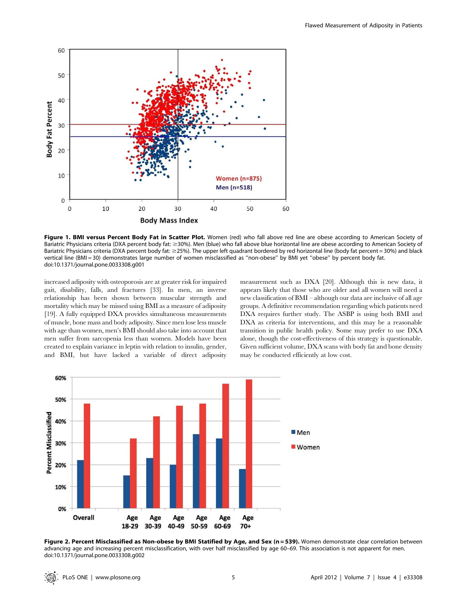

Figure 1. BMI versus Percent Body Fat in Scatter Plot. Women (red) who fall above red line are obese according to American Society of Bariatric Physicians criteria (DXA percent body fat: ≥30%). Men (blue) who fall above blue horizontal line are obese according to American Society of Bariatric Physicians criteria (DXA percent body fat: ≥25%). The upper left quadrant bordered by red horizontal line (body fat percent = 30%) and black vertical line (BMI = 30) demonstrates large number of women misclassified as "non-obese" by BMI yet "obese" by percent body fat. doi:10.1371/journal.pone.0033308.g001

increased adiposity with osteoporosis are at greater risk for impaired gait, disability, falls, and fractures [33]. In men, an inverse relationship has been shown between muscular strength and mortality which may be missed using BMI as a measure of adiposity [19]. A fully equipped DXA provides simultaneous measurements of muscle, bone mass and body adiposity. Since men lose less muscle with age than women, men's BMI should also take into account that men suffer from sarcopenia less than women. Models have been created to explain variance in leptin with relation to insulin, gender, and BMI, but have lacked a variable of direct adiposity measurement such as DXA [20]. Although this is new data, it appears likely that those who are older and all women will need a new classification of BMI – although our data are inclusive of all age groups. A definitive recommendation regarding which patients need DXA requires further study. The ASBP is using both BMI and DXA as criteria for interventions, and this may be a reasonable transition in public health policy. Some may prefer to use DXA alone, though the cost-effectiveness of this strategy is questionable. Given sufficient volume, DXA scans with body fat and bone density may be conducted efficiently at low cost.



Figure 2. Percent Misclassified as Non-obese by BMI Statified by Age, and Sex (n = 539). Women demonstrate clear correlation between advancing age and increasing percent misclassification, with over half misclassified by age 60–69. This association is not apparent for men. doi:10.1371/journal.pone.0033308.g002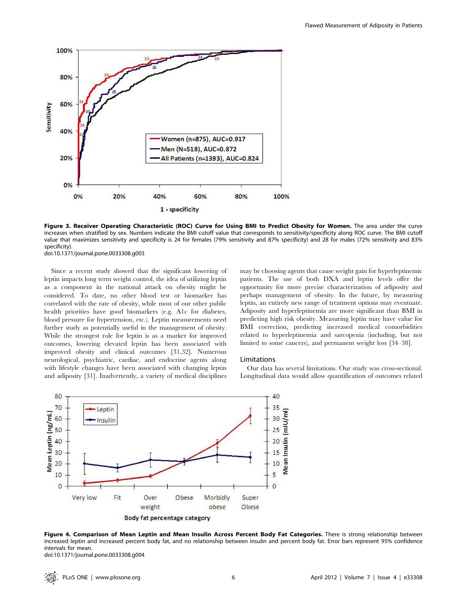

Figure 3. Receiver Operating Characteristic (ROC) Curve for Using BMI to Predict Obesity for Women. The area under the curve increases when stratified by sex. Numbers indicate the BMI cutoff value that corresponds to sensitivity/specificity along ROC curve. The BMI cutoff value that maximizes sensitivity and specificity is 24 for females (79% sensitivity and 87% specificity) and 28 for males (72% sensitivity and 83% specificity).

doi:10.1371/journal.pone.0033308.g003

Since a recent study showed that the significant lowering of leptin impacts long term weight control, the idea of utilizing leptin as a component in the national attack on obesity might be considered. To date, no other blood test or biomarker has correlated with the rate of obesity, while most of our other public health priorities have good biomarkers (e.g. A1c for diabetes, blood pressure for hypertension, etc.). Leptin measurements need further study as potentially useful in the management of obesity. While the strongest role for leptin is as a marker for improved outcomes, lowering elevated leptin has been associated with improved obesity and clinical outcomes [31,32]. Numerous neurological, psychiatric, cardiac, and endocrine agents along with lifestyle changes have been associated with changing leptin and adiposity [31]. Inadvertently, a variety of medical disciplines may be choosing agents that cause weight gain for hyperleptinemic patients. The use of both DXA and leptin levels offer the opportunity for more precise characterization of adiposity and perhaps management of obesity. In the future, by measuring leptin, an entirely new range of treatment options may eventuate. Adiposity and hyperleptinemia are more significant than BMI in predicting high risk obesity. Measuring leptin may have value for BMI correction, predicting increased medical comorbidities related to hyperleptinemia and sarcopenia (including, but not limited to some cancers), and permanent weight loss [34–38].

#### Limitations

Our data has several limitations. Our study was cross-sectional. Longitudinal data would allow quantification of outcomes related



Figure 4. Comparison of Mean Leptin and Mean Insulin Across Percent Body Fat Categories. There is strong relationship between increased leptin and increased percent body fat, and no relationship between insulin and percent body fat. Error bars represent 95% confidence intervals for mean. doi:10.1371/journal.pone.0033308.g004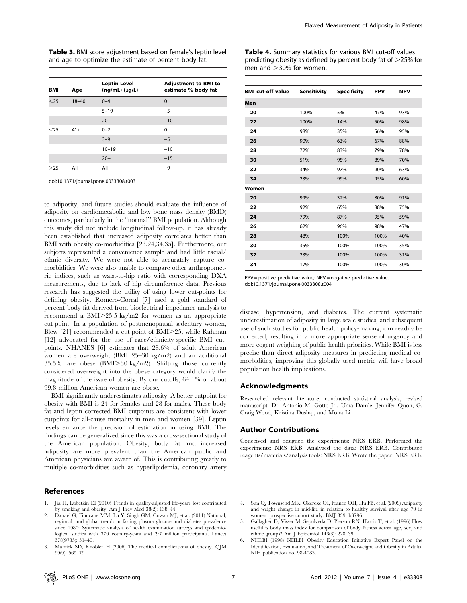Table 3. BMI score adjustment based on female's leptin level and age to optimize the estimate of percent body fat.

| <b>BMI</b> | Age       | <b>Leptin Level</b><br>$(ng/mL)$ ( $\mu g/L$ ) | <b>Adjustment to BMI to</b><br>estimate % body fat |
|------------|-----------|------------------------------------------------|----------------------------------------------------|
| $25$       | $18 - 40$ | $0 - 4$                                        | $\mathbf{0}$                                       |
|            |           | $5 - 19$                                       | $+5$                                               |
|            |           | $20+$                                          | $+10$                                              |
| $25$       | $41+$     | $0 - 2$                                        | $\Omega$                                           |
|            |           | $3 - 9$                                        | $+5$                                               |
|            |           | $10 - 19$                                      | $+10$                                              |
|            |           | $20+$                                          | $+15$                                              |
| >25        | All       | All                                            | $+9$                                               |

doi:10.1371/journal.pone.0033308.t003

to adiposity, and future studies should evaluate the influence of adiposity on cardiometabolic and low bone mass density (BMD) outcomes, particularly in the ''normal'' BMI population. Although this study did not include longitudinal follow-up, it has already been established that increased adiposity correlates better than BMI with obesity co-morbidities [23,24,34,35]. Furthermore, our subjects represented a convenience sample and had little racial/ ethnic diversity. We were not able to accurately capture comorbidities. We were also unable to compare other anthropometric indices, such as waist-to-hip ratio with corresponding DXA measurements, due to lack of hip circumference data. Previous research has suggested the utility of using lower cut-points for defining obesity. Romero-Corral [7] used a gold standard of percent body fat derived from bioelectrical impedance analysis to recommend a  $BMI > 25.5 \text{ kg/m2}$  for women as an appropriate cut-point. In a population of postmenopausal sedentary women, Blew  $[21]$  recommended a cut-point of BMI $>$ 25, while Rahman [12] advocated for the use of race/ethnicity-specific BMI cutpoints. NHANES [6] estimates that 28.6% of adult American women are overweight (BMI 25–30 kg/m2) and an additional 35.5% are obese  $(BMI > 30 \text{ kg/m2})$ . Shifting those currently considered overweight into the obese category would clarify the magnitude of the issue of obesity. By our cutoffs, 64.1% or about 99.8 million American women are obese.

BMI significantly underestimates adiposity. A better cutpoint for obesity with BMI is 24 for females and 28 for males. These body fat and leptin corrected BMI cutpoints are consistent with lower cutpoints for all-cause mortality in men and women [39]. Leptin levels enhance the precision of estimation in using BMI. The findings can be generalized since this was a cross-sectional study of the American population. Obesity, body fat and increased adiposity are more prevalent than the American public and American physicians are aware of. This is contributing greatly to multiple co-morbidities such as hyperlipidemia, coronary artery

#### References

- 1. Jia H, Lubetkin EI (2010) Trends in quality-adjusted life-years lost contributed by smoking and obesity. Am J Prev Med 38(2): 138–44.
- 2. Danaei G, Finucane MM, Lu Y, Singh GM, Cowan MJ, et al. (2011) National, regional, and global trends in fasting plasma glucose and diabetes prevalence since 1980: Systematic analysis of health examination surveys and epidemiological studies with 370 country-years and 2?7 million participants. Lancet 378(9785): 31–40.
- 3. Malnick SD, Knobler H (2006) The medical complications of obesity. QJM 99(9): 565–79.

Table 4. Summary statistics for various BMI cut-off values predicting obesity as defined by percent body fat of  $>$ 25% for men and  $>$ 30% for women.

| <b>BMI</b> cut-off value | Sensitivity | <b>Specificity</b> | <b>PPV</b> | <b>NPV</b> |
|--------------------------|-------------|--------------------|------------|------------|
| Men                      |             |                    |            |            |
| 20                       | 100%        | 5%                 | 47%        | 93%        |
| 22                       | 100%        | 14%                | 50%        | 98%        |
| 24                       | 98%         | 35%                | 56%        | 95%        |
| 26                       | 90%         | 63%                | 67%        | 88%        |
| 28                       | 72%         | 83%                | 79%        | 78%        |
| 30                       | 51%         | 95%                | 89%        | 70%        |
| 32                       | 34%         | 97%                | 90%        | 63%        |
| 34                       | 23%         | 99%                | 95%        | 60%        |
| Women                    |             |                    |            |            |
| 20                       | 99%         | 32%                | 80%        | 91%        |
| 22                       | 92%         | 65%                | 88%        | 75%        |
| 24                       | 79%         | 87%                | 95%        | 59%        |
| 26                       | 62%         | 96%                | 98%        | 47%        |
| 28                       | 48%         | 100%               | 100%       | 40%        |
| 30                       | 35%         | 100%               | 100%       | 35%        |
| 32                       | 23%         | 100%               | 100%       | 31%        |
| 34                       | 17%         | 100%               | 100%       | 30%        |

PPV = positive predictive value; NPV = negative predictive value. doi:10.1371/journal.pone.0033308.t004

disease, hypertension, and diabetes. The current systematic underestimation of adiposity in large scale studies, and subsequent use of such studies for public health policy-making, can readily be corrected, resulting in a more appropriate sense of urgency and more cogent weighing of public health priorities. While BMI is less precise than direct adiposity measures in predicting medical comorbidities, improving this globally used metric will have broad population health implications.

#### Acknowledgments

Researched relevant literature, conducted statistical analysis, revised manuscript: Dr. Antonio M. Gotto Jr., Uma Damle, Jennifer Quon, G. Craig Wood, Kristina Dushaj, and Mona Li.

#### Author Contributions

Conceived and designed the experiments: NRS ERB. Performed the experiments: NRS ERB. Analyzed the data: NRS ERB. Contributed reagents/materials/analysis tools: NRS ERB. Wrote the paper: NRS ERB.

- 4. Sun Q, Townsend MK, Okereke OI, Franco OH, Hu FB, et al. (2009) Adiposity and weight change in mid-life in relation to healthy survival after age 70 in women: prospective cohort study. BMJ 339: b3796.
- 5. Gallagher D, Visser M, Sepulveda D, Pierson RN, Harris T, et al. (1996) How useful is body mass index for comparison of body fatness across age, sex, and ethnic groups? Am J Epidemiol 143(3): 228–39.
- NHLBI (1998) NHLBI Obesity Education Initiative Expert Panel on the Identification, Evaluation, and Treatment of Overweight and Obesity in Adults. NIH publication no. 98-4083.